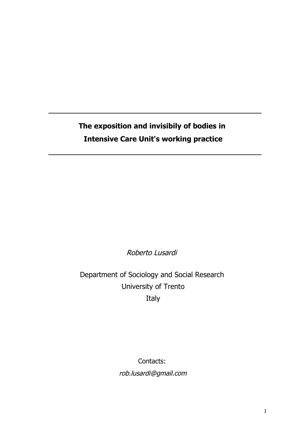**The exposition and invisibily of bodies in Intensive Care Unit's working practice**

Roberto Lusardi

Department of Sociology and Social Research University of Trento Italy

Contacts:

rob.lusardi@gmail.com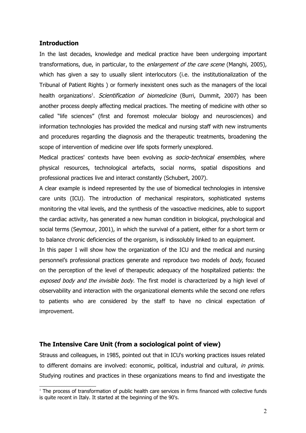## **Introduction**

In the last decades, knowledge and medical practice have been undergoing important transformations, due, in particular, to the enlargement of the care scene (Manghi, 2005), which has given a say to usually silent interlocutors (i.e. the institutionalization of the Tribunal of Patient Rights ) or formerly inexistent ones such as the managers of the local health organizations<sup>[1](#page-1-0)</sup>. *Scientification of biomedicine* (Burri, Dummit, 2007) has been another process deeply affecting medical practices. The meeting of medicine with other so called "life sciences" (first and foremost molecular biology and neurosciences) and information technologies has provided the medical and nursing staff with new instruments and procedures regarding the diagnosis and the therapeutic treatments, broadening the scope of intervention of medicine over life spots formerly unexplored.

Medical practices' contexts have been evolving as socio-technical ensembles, where physical resources, technological artefacts, social norms, spatial dispositions and professional practices live and interact constantly (Schubert, 2007).

A clear example is indeed represented by the use of biomedical technologies in intensive care units (ICU). The introduction of mechanical respirators, sophisticated systems monitoring the vital levels, and the synthesis of the vasoactive medicines, able to support the cardiac activity, has generated a new human condition in biological, psychological and social terms (Seymour, 2001), in which the survival of a patient, either for a short term or to balance chronic deficiencies of the organism, is indissolubly linked to an equipment.

In this paper I will show how the organization of the ICU and the medical and nursing personnel's professional practices generate and reproduce two models of body, focused on the perception of the level of therapeutic adequacy of the hospitalized patients: the exposed body and the invisible body. The first model is characterized by a high level of observability and interaction with the organizational elements while the second one refers to patients who are considered by the staff to have no clinical expectation of improvement.

## **The Intensive Care Unit (from a sociological point of view)**

Strauss and colleagues, in 1985, pointed out that in ICU's working practices issues related to different domains are involved: economic, political, industrial and cultural, in primis. Studying routines and practices in these organizations means to find and investigate the

<span id="page-1-0"></span><sup>1</sup> The process of transformation of public health care services in firms financed with collective funds is quite recent in Italy. It started at the beginning of the 90's.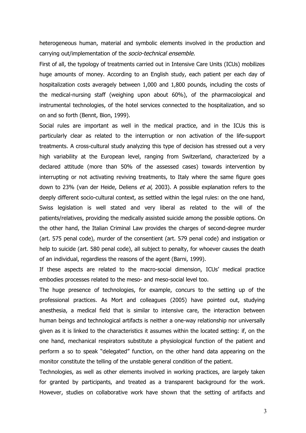heterogeneous human, material and symbolic elements involved in the production and carrying out/implementation of the socio-technical ensemble.

First of all, the typology of treatments carried out in Intensive Care Units (ICUs) mobilizes huge amounts of money. According to an English study, each patient per each day of hospitalization costs averagely between 1,000 and 1,800 pounds, including the costs of the medical-nursing staff (weighing upon about 60%), of the pharmacological and instrumental technologies, of the hotel services connected to the hospitalization, and so on and so forth (Bennt, Bion, 1999).

Social rules are important as well in the medical practice, and in the ICUs this is particularly clear as related to the interruption or non activation of the life-support treatments. A cross-cultural study analyzing this type of decision has stressed out a very high variability at the European level, ranging from Switzerland, characterized by a declared attitude (more than 50% of the assessed cases) towards intervention by interrupting or not activating reviving treatments, to Italy where the same figure goes down to 23% (van der Heide, Deliens et al, 2003). A possible explanation refers to the deeply different socio-cultural context, as settled within the legal rules: on the one hand, Swiss legislation is well stated and very liberal as related to the will of the patients/relatives, providing the medically assisted suicide among the possible options. On the other hand, the Italian Criminal Law provides the charges of second-degree murder (art. 575 penal code), murder of the consentient (art. 579 penal code) and instigation or help to suicide (art. 580 penal code), all subject to penalty, for whoever causes the death of an individual, regardless the reasons of the agent (Barni, 1999).

If these aspects are related to the macro-social dimension, ICUs' medical practice embodies processes related to the meso- and meso-social level too.

The huge presence of technologies, for example, concurs to the setting up of the professional practices. As Mort and colleagues (2005) have pointed out, studying anesthesia, a medical field that is similar to intensive care, the interaction between human beings and technological artifacts is neither a one-way relationship nor universally given as it is linked to the characteristics it assumes within the located setting: if, on the one hand, mechanical respirators substitute a physiological function of the patient and perform a so to speak "delegated" function, on the other hand data appearing on the monitor constitute the telling of the unstable general condition of the patient.

Technologies, as well as other elements involved in working practices, are largely taken for granted by participants, and treated as a transparent background for the work. However, studies on collaborative work have shown that the setting of artifacts and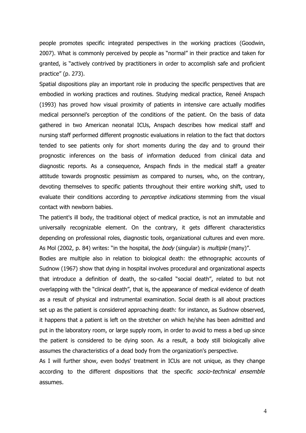people promotes specific integrated perspectives in the working practices (Goodwin, 2007). What is commonly perceived by people as "normal" in their practice and taken for granted, is "actively contrived by practitioners in order to accomplish safe and proficient practice" (p. 273).

Spatial dispositions play an important role in producing the specific perspectives that are embodied in working practices and routines. Studying medical practice, Reneé Anspach (1993) has proved how visual proximity of patients in intensive care actually modifies medical personnel's perception of the conditions of the patient. On the basis of data gathered in two American neonatal ICUs, Anspach describes how medical staff and nursing staff performed different prognostic evaluations in relation to the fact that doctors tended to see patients only for short moments during the day and to ground their prognostic inferences on the basis of information deduced from clinical data and diagnostic reports. As a consequence, Anspach finds in the medical staff a greater attitude towards prognostic pessimism as compared to nurses, who, on the contrary, devoting themselves to specific patients throughout their entire working shift, used to evaluate their conditions according to *perceptive indications* stemming from the visual contact with newborn babies.

The patient's ill body, the traditional object of medical practice, is not an immutable and universally recognizable element. On the contrary, it gets different characteristics depending on professional roles, diagnostic tools, organizational cultures and even more. As Mol (2002, p. 84) writes: "in the hospital, the body (singular) is *multiple* (many)".

Bodies are multiple also in relation to biological death: the ethnographic accounts of Sudnow (1967) show that dying in hospital involves procedural and organizational aspects that introduce a definition of death, the so-called "social death", related to but not overlapping with the "clinical death", that is, the appearance of medical evidence of death as a result of physical and instrumental examination. Social death is all about practices set up as the patient is considered approaching death: for instance, as Sudnow observed, it happens that a patient is left on the stretcher on which he/she has been admitted and put in the laboratory room, or large supply room, in order to avoid to mess a bed up since the patient is considered to be dying soon. As a result, a body still biologically alive assumes the characteristics of a dead body from the organization's perspective.

As I will further show, even bodys' treatment in ICUs are not unique, as they change according to the different dispositions that the specific socio-technical ensemble assumes.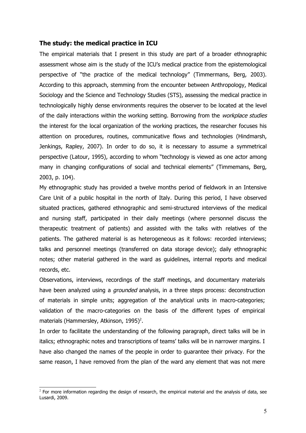## **The study: the medical practice in ICU**

The empirical materials that I present in this study are part of a broader ethnographic assessment whose aim is the study of the ICU's medical practice from the epistemological perspective of "the practice of the medical technology" (Timmermans, Berg, 2003). According to this approach, stemming from the encounter between Anthropology, Medical Sociology and the Science and Technology Studies (STS), assessing the medical practice in technologically highly dense environments requires the observer to be located at the level of the daily interactions within the working setting. Borrowing from the workplace studies the interest for the local organization of the working practices, the researcher focuses his attention on procedures, routines, communicative flows and technologies (Hindmarsh, Jenkings, Rapley, 2007). In order to do so, it is necessary to assume a symmetrical perspective (Latour, 1995), according to whom "technology is viewed as one actor among many in changing configurations of social and technical elements" (Timmemans, Berg, 2003, p. 104).

My ethnographic study has provided a twelve months period of fieldwork in an Intensive Care Unit of a public hospital in the north of Italy. During this period, I have observed situated practices, gathered ethnographic and semi-structured interviews of the medical and nursing staff, participated in their daily meetings (where personnel discuss the therapeutic treatment of patients) and assisted with the talks with relatives of the patients. The gathered material is as heterogeneous as it follows: recorded interviews; talks and personnel meetings (transferred on data storage device); daily ethnographic notes; other material gathered in the ward as guidelines, internal reports and medical records, etc.

Observations, interviews, recordings of the staff meetings, and documentary materials have been analyzed using a *grounded* analysis, in a three steps process: deconstruction of materials in simple units; aggregation of the analytical units in macro-categories; validation of the macro-categories on the basis of the different types of empirical materials (Hammersley, Atkinson,  $1995$ )<sup>[2](#page-4-0)</sup>.

In order to facilitate the understanding of the following paragraph, direct talks will be in italics; ethnographic notes and transcriptions of teams' talks will be in narrower margins. I have also changed the names of the people in order to guarantee their privacy. For the same reason, I have removed from the plan of the ward any element that was not mere

<span id="page-4-0"></span> $<sup>2</sup>$  For more information regarding the design of research, the empirical material and the analysis of data, see</sup> Lusardi, 2009.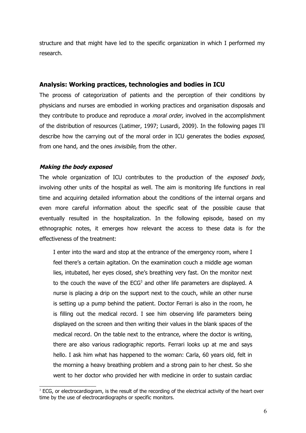structure and that might have led to the specific organization in which I performed my research.

# **Analysis: Working practices, technologies and bodies in ICU**

The process of categorization of patients and the perception of their conditions by physicians and nurses are embodied in working practices and organisation disposals and they contribute to produce and reproduce a *moral order*, involved in the accomplishment of the distribution of resources (Latimer, 1997; Lusardi, 2009). In the following pages I'll describe how the carrying out of the moral order in ICU generates the bodies exposed, from one hand, and the ones *invisibile*, from the other.

## **Making the body exposed**

The whole organization of ICU contributes to the production of the *exposed body*, involving other units of the hospital as well. The aim is monitoring life functions in real time and acquiring detailed information about the conditions of the internal organs and even more careful information about the specific seat of the possible cause that eventually resulted in the hospitalization. In the following episode, based on my ethnographic notes, it emerges how relevant the access to these data is for the effectiveness of the treatment:

I enter into the ward and stop at the entrance of the emergency room, where I feel there's a certain agitation. On the examination couch a middle age woman lies, intubated, her eyes closed, she's breathing very fast. On the monitor next to the couch the wave of the ECG<sup>[3](#page-5-0)</sup> and other life parameters are displayed. A nurse is placing a drip on the support next to the couch, while an other nurse is setting up a pump behind the patient. Doctor Ferrari is also in the room, he is filling out the medical record. I see him observing life parameters being displayed on the screen and then writing their values in the blank spaces of the medical record. On the table next to the entrance, where the doctor is writing, there are also various radiographic reports. Ferrari looks up at me and says hello. I ask him what has happened to the woman: Carla, 60 years old, felt in the morning a heavy breathing problem and a strong pain to her chest. So she went to her doctor who provided her with medicine in order to sustain cardiac

<span id="page-5-0"></span> $3$  ECG, or electrocardiogram, is the result of the recording of the electrical activity of the heart over time by the use of electrocardiographs or specific monitors.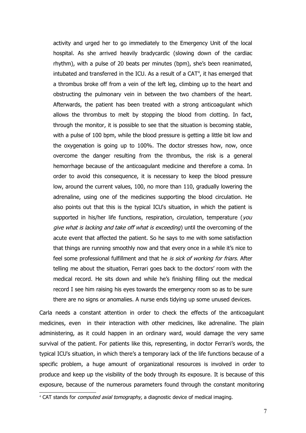activity and urged her to go immediately to the Emergency Unit of the local hospital. As she arrived heavily bradycardic (slowing down of the cardiac rhythm), with a pulse of 20 beats per minutes (bpm), she's been reanimated, intubated and transferred in the ICU. As a result of a CAT<sup>[4](#page-6-0)</sup>, it has emerged that a thrombus broke off from a vein of the left leg, climbing up to the heart and obstructing the pulmonary vein in between the two chambers of the heart. Afterwards, the patient has been treated with a strong anticoagulant which allows the thrombus to melt by stopping the blood from clotting. In fact, through the monitor, it is possible to see that the situation is becoming stable, with a pulse of 100 bpm, while the blood pressure is getting a little bit low and the oxygenation is going up to 100%. The doctor stresses how, now, once overcome the danger resulting from the thrombus, the risk is a general hemorrhage because of the anticoagulant medicine and therefore a coma. In order to avoid this consequence, it is necessary to keep the blood pressure low, around the current values, 100, no more than 110, gradually lowering the adrenaline, using one of the medicines supporting the blood circulation. He also points out that this is the typical ICU's situation, in which the patient is supported in his/her life functions, respiration, circulation, temperature (you give what is lacking and take off what is exceeding) until the overcoming of the acute event that affected the patient. So he says to me with some satisfaction that things are running smoothly now and that every once in a while it's nice to feel some professional fulfillment and that he is sick of working for friars. After telling me about the situation, Ferrari goes back to the doctors' room with the medical record. He sits down and while he's finishing filling out the medical record I see him raising his eyes towards the emergency room so as to be sure there are no signs or anomalies. A nurse ends tidying up some unused devices.

Carla needs a constant attention in order to check the effects of the anticoagulant medicines, even in their interaction with other medicines, like adrenaline. The plain administering, as it could happen in an ordinary ward, would damage the very same survival of the patient. For patients like this, representing, in doctor Ferrari's words, the typical ICU's situation, in which there's a temporary lack of the life functions because of a specific problem, a huge amount of organizational resources is involved in order to produce and keep up the visibility of the body through its exposure. It is because of this exposure, because of the numerous parameters found through the constant monitoring

<span id="page-6-0"></span> $4$  CAT stands for *computed axial tomography*, a diagnostic device of medical imaging.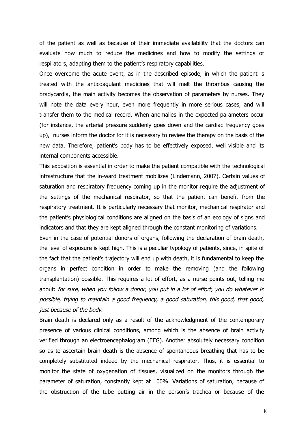of the patient as well as because of their immediate availability that the doctors can evaluate how much to reduce the medicines and how to modify the settings of respirators, adapting them to the patient's respiratory capabilities.

Once overcome the acute event, as in the described episode, in which the patient is treated with the anticoagulant medicines that will melt the thrombus causing the bradycardia, the main activity becomes the observation of parameters by nurses. They will note the data every hour, even more frequently in more serious cases, and will transfer them to the medical record. When anomalies in the expected parameters occur (for instance, the arterial pressure suddenly goes down and the cardiac frequency goes up), nurses inform the doctor for it is necessary to review the therapy on the basis of the new data. Therefore, patient's body has to be effectively exposed, well visible and its internal components accessible.

This exposition is essential in order to make the patient compatible with the technological infrastructure that the in-ward treatment mobilizes (Lindemann, 2007). Certain values of saturation and respiratory frequency coming up in the monitor require the adjustment of the settings of the mechanical respirator, so that the patient can benefit from the respiratory treatment. It is particularly necessary that monitor, mechanical respirator and the patient's physiological conditions are aligned on the basis of an ecology of signs and indicators and that they are kept aligned through the constant monitoring of variations.

Even in the case of potential donors of organs, following the declaration of brain death, the level of exposure is kept high. This is a peculiar typology of patients, since, in spite of the fact that the patient's trajectory will end up with death, it is fundamental to keep the organs in perfect condition in order to make the removing (and the following transplantation) possible. This requires a lot of effort, as a nurse points out, telling me about: for sure, when you follow a donor, you put in a lot of effort, you do whatever is possible, trying to maintain a good frequency, a good saturation, this good, that good, just because of the body.

Brain death is declared only as a result of the acknowledgment of the contemporary presence of various clinical conditions, among which is the absence of brain activity verified through an electroencephalogram (EEG). Another absolutely necessary condition so as to ascertain brain death is the absence of spontaneous breathing that has to be completely substituted indeed by the mechanical respirator. Thus, it is essential to monitor the state of oxygenation of tissues, visualized on the monitors through the parameter of saturation, constantly kept at 100%. Variations of saturation, because of the obstruction of the tube putting air in the person's trachea or because of the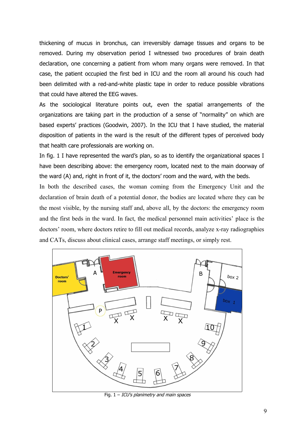thickening of mucus in bronchus, can irreversibly damage tissues and organs to be removed. During my observation period I witnessed two procedures of brain death declaration, one concerning a patient from whom many organs were removed. In that case, the patient occupied the first bed in ICU and the room all around his couch had been delimited with a red-and-white plastic tape in order to reduce possible vibrations that could have altered the EEG waves.

As the sociological literature points out, even the spatial arrangements of the organizations are taking part in the production of a sense of "normality" on which are based experts' practices (Goodwin, 2007). In the ICU that I have studied, the material disposition of patients in the ward is the result of the different types of perceived body that health care professionals are working on.

In fig. 1 I have represented the ward's plan, so as to identify the organizational spaces I have been describing above: the emergency room, located next to the main doorway of the ward (A) and, right in front of it, the doctors' room and the ward, with the beds.

In both the described cases, the woman coming from the Emergency Unit and the declaration of brain death of a potential donor, the bodies are located where they can be the most visible, by the nursing staff and, above all, by the doctors: the emergency room and the first beds in the ward. In fact, the medical personnel main activities' place is the doctors' room, where doctors retire to fill out medical records, analyze x-ray radiographies and CATs, discuss about clinical cases, arrange staff meetings, or simply rest.



Fig.  $1 - ICU's$  planimetry and main spaces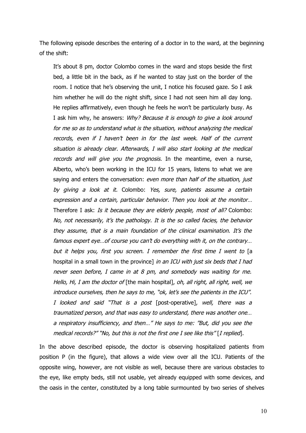The following episode describes the entering of a doctor in to the ward, at the beginning of the shift:

It's about 8 pm, doctor Colombo comes in the ward and stops beside the first bed, a little bit in the back, as if he wanted to stay just on the border of the room. I notice that he's observing the unit, I notice his focused gaze. So I ask him whether he will do the night shift, since I had not seen him all day long. He replies affirmatively, even though he feels he won't be particularly busy. As I ask him why, he answers: Why? Because it is enough to give a look around for me so as to understand what is the situation, without analyzing the medical records, even if I haven't been in for the last week. Half of the current situation is already clear. Afterwards, I will also start looking at the medical records and will give you the prognosis. In the meantime, even a nurse, Alberto, who's been working in the ICU for 15 years, listens to what we are saying and enters the conversation: even more than half of the situation, just by giving <sup>a</sup> look at it. Colombo: Yes, sure, patients assume <sup>a</sup> certain expression and a certain, particular behavior. Then you look at the monitor… Therefore I ask: Is it because they are elderly people, most of all? Colombo: No, not necessarily, it's the pathology. It is the so called facies, the behavior they assume, that is a main foundation of the clinical examination. It's the famous expert eye…of course you can't do everything with it, on the contrary… but it helps you, first you screen. I remember the first time I went to [a hospital in a small town in the province] in an ICU with just six beds that I had never seen before, I came in at 8 pm, and somebody was waiting for me. Hello, Hi, I am the doctor of [the main hospital], oh, all right, all right, well, we introduce ourselves, then he says to me, "ok, let's see the patients in the ICU". I looked and said "That is a post [post-operative], well, there was a traumatized person, and that was easy to understand, there was another one… a respiratory insufficiency, and then…" He says to me: "But, did you see the medical records?" "No, but this is not the first one I see like this" [I replied].

In the above described episode, the doctor is observing hospitalized patients from position P (in the figure), that allows a wide view over all the ICU. Patients of the opposite wing, however, are not visible as well, because there are various obstacles to the eye, like empty beds, still not usable, yet already equipped with some devices, and the oasis in the center, constituted by a long table surmounted by two series of shelves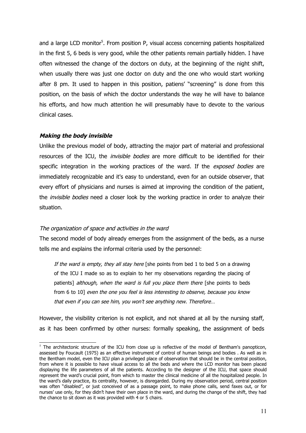and a large LCD monitor<sup>[5](#page-10-0)</sup>. From position P, visual access concerning patients hospitalized in the first 5, 6 beds is very good, while the other patients remain partially hidden. I have often witnessed the change of the doctors on duty, at the beginning of the night shift, when usually there was just one doctor on duty and the one who would start working after 8 pm. It used to happen in this position, patiens' "screening" is done from this position, on the basis of which the doctor understands the way he will have to balance his efforts, and how much attention he will presumably have to devote to the various clinical cases.

## **Making the body invisible**

Unlike the previous model of body, attracting the major part of material and professional resources of the ICU, the *invisible bodies* are more difficult to be identified for their specific integration in the working practices of the ward. If the exposed bodies are immediately recognizable and it's easy to understand, even for an outside observer, that every effort of physicians and nurses is aimed at improving the condition of the patient, the *invisible bodies* need a closer look by the working practice in order to analyze their situation.

### The organization of space and activities in the ward

The second model of body already emerges from the assignment of the beds, as a nurse tells me and explains the informal criteria used by the personnel:

If the ward is empty, they all stay here [she points from bed 1 to bed 5 on a drawing of the ICU I made so as to explain to her my observations regarding the placing of patients] *although, when the ward is full you place them there* [she points to beds from 6 to 10] even the one you feel is less interesting to observe, because you know that even if you can see him, you won't see anything new. Therefore…

However, the visibility criterion is not explicit, and not shared at all by the nursing staff, as it has been confirmed by other nurses: formally speaking, the assignment of beds

<span id="page-10-0"></span> $5$  The architectonic structure of the ICU from close up is reflective of the model of Bentham's panopticon, assessed by Foucault (1975) as an effective instrument of control of human beings and bodies . As well as in the Bentham model, even the ICU plan a privileged place of observation that should be in the central position, from where it is possible to have visual access to all the beds and where the LCD monitor has been placed displaying the life parameters of all the patients. According to the designer of the ICU, that space should represent the ward's crucial point, from which to master the clinical medicine of all the hospitalized people. In the ward's daily practice, its centrality, however, is disregarded. During my observation period, central position was often "disabled", or just conceived of as a passage point, to make phone calls, send faxes out, or for nurses' use only, for they didn't have their own place in the ward, and during the change of the shift, they had the chance to sit down as it was provided with 4 or 5 chairs.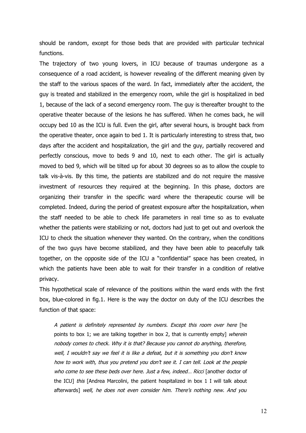should be random, except for those beds that are provided with particular technical functions.

The trajectory of two young lovers, in ICU because of traumas undergone as a consequence of a road accident, is however revealing of the different meaning given by the staff to the various spaces of the ward. In fact, immediately after the accident, the guy is treated and stabilized in the emergency room, while the girl is hospitalized in bed 1, because of the lack of a second emergency room. The guy is thereafter brought to the operative theater because of the lesions he has suffered. When he comes back, he will occupy bed 10 as the ICU is full. Even the girl, after several hours, is brought back from the operative theater, once again to bed 1. It is particularly interesting to stress that, two days after the accident and hospitalization, the girl and the guy, partially recovered and perfectly conscious, move to beds 9 and 10, next to each other. The girl is actually moved to bed 9, which will be tilted up for about 30 degrees so as to allow the couple to talk vis-à-vis. By this time, the patients are stabilized and do not require the massive investment of resources they required at the beginning. In this phase, doctors are organizing their transfer in the specific ward where the therapeutic course will be completed. Indeed, during the period of greatest exposure after the hospitalization, when the staff needed to be able to check life parameters in real time so as to evaluate whether the patients were stabilizing or not, doctors had just to get out and overlook the ICU to check the situation whenever they wanted. On the contrary, when the conditions of the two guys have become stabilized, and they have been able to peacefully talk together, on the opposite side of the ICU a "confidential" space has been created, in which the patients have been able to wait for their transfer in a condition of relative privacy.

This hypothetical scale of relevance of the positions within the ward ends with the first box, blue-colored in fig.1. Here is the way the doctor on duty of the ICU describes the function of that space:

A patient is definitely represented by numbers. Except this room over here [he points to box 1; we are talking together in box 2, that is currently empty] wherein nobody comes to check. Why it is that? Because you cannot do anything, therefore, well, I wouldn't say we feel it is like a defeat, but it is something you don't know how to work with, thus you pretend you don't see it. I can tell. Look at the people who come to see these beds over here. Just a few, indeed... Ricci [another doctor of the ICU] *this* [Andrea Marcolini, the patient hospitalized in box 1 I will talk about afterwards] well, he does not even consider him. There's nothing new. And you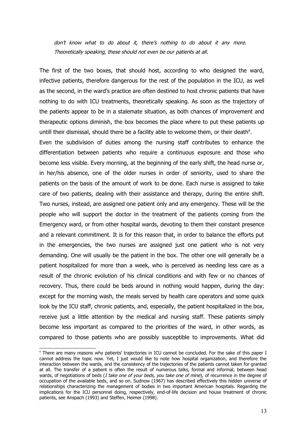don't know what to do about it, there's nothing to do about it any more. Theoretically speaking, these should not even be our patients at all.

The first of the two boxes, that should host, according to who designed the ward, infective patients, therefore dangerous for the rest of the population in the ICU, as well as the second, in the ward's practice are often destined to host chronic patients that have nothing to do with ICU treatments, theoretically speaking. As soon as the trajectory of the patients appear to be in a stalemate situation, as both chances of improvement and therapeutic options diminish, the box becomes the place where to put these patients up untill their dismissal, should there be a facility able to welcome them, or their death $6$ .

Even the subdivision of duties among the nursing staff contributes to enhance the differentiation between patients who require a continuous exposure and those who become less visible. Every morning, at the beginning of the early shift, the head nurse or, in her/his absence, one of the older nurses in order of seniority, used to share the patients on the basis of the amount of work to be done. Each nurse is assigned to take care of two patients, dealing with their assistance and therapy, during the entire shift. Two nurses, instead, are assigned one patient only and any emergency. These will be the people who will support the doctor in the treatment of the patients coming from the Emergency ward, or from other hospital wards, devoting to them their constant presence and a relevant commitment. It is for this reason that, in order to balance the efforts put in the emergencies, the two nurses are assigned just one patient who is not very demanding. One will usually be the patient in the box. The other one will generally be a patient hospitalized for more than a week, who is perceived as needing less care as a result of the chronic evolution of his clinical conditions and with few or no chances of recovery. Thus, there could be beds around in nothing would happen, during the day: except for the morning wash, the meals served by health care operators and some quick look by the ICU staff, chronic patients, and, especially, the patient hospitalized in the box, receive just a little attention by the medical and nursing staff. These patients simply become less important as compared to the priorities of the ward, in other words, as compared to those patients who are possibly susceptible to improvements. What did

<span id="page-12-0"></span><sup>&</sup>lt;sup>6</sup> There are many reasons why patients' trajectories in ICU cannot be concluded. For the sake of this paper I cannot address the topic now. Yet, I just would like to note how hospital organization, and therefore the interaction between the wards, and the consistency of the trajectories of the patients cannot taken for granted at all. The transfer of a patient is often the result of numerous talks, formal and informal, between head wards, of negotiations of beds (I take one of your beds, you take one of mine), of recurrence in the degree of occupation of the available beds, and so on. Sudnow (1967) has described effectively this hidden universe of relationships characterizing the management of bodies in two important American hospitals. Regarding the implications for the ICU personnel doing, respectively, end-of-life decision and house treatment of chronic patients, see Anspach (1993) and Steffen, Heimer (1998).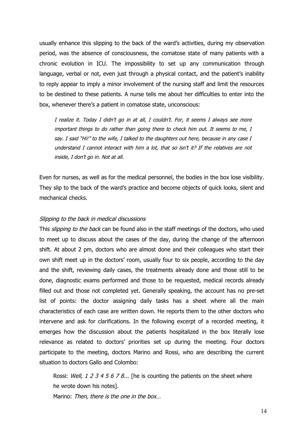usually enhance this slipping to the back of the ward's activities, during my observation period, was the absence of consciousness, the comatose state of many patients with a chronic evolution in ICU. The impossibility to set up any communication through language, verbal or not, even just through a physical contact, and the patient's inability to reply appear to imply a minor involvement of the nursing staff and limit the resources to be destined to these patients. A nurse tells me about her difficulties to enter into the box, whenever there's a patient in comatose state, unconscious:

I realize it. Today I didn't go in at all, I couldn't. For, it seems I always see more important things to do rather than going there to check him out. It seems to me, I say. I said "Hi!" to the wife, I talked to the daughters out here, because in any case I understand I cannot interact with him a lot, that so isn't it? If the relatives are not inside, I don't go in. Not at all.

Even for nurses, as well as for the medical personnel, the bodies in the box lose visibility. They slip to the back of the ward's practice and become objects of quick looks, silent and mechanical checks.

#### Slipping to the back in medical discussions

This *slipping to the back* can be found also in the staff meetings of the doctors, who used to meet up to discuss about the cases of the day, during the change of the afternoon shift. At about 2 pm, doctors who are almost done and their colleagues who start their own shift meet up in the doctors' room, usually four to six people, according to the day and the shift, reviewing daily cases, the treatments already done and those still to be done, diagnostic exams performed and those to be requested, medical records already filled out and those not completed yet. Generally speaking, the account has no pre-set list of points: the doctor assigning daily tasks has a sheet where all the main characteristics of each case are written down. He reports them to the other doctors who intervene and ask for clarifications. In the following excerpt of a recorded meeting, it emerges how the discussion about the patients hospitalized in the box literally lose relevance as related to doctors' priorities set up during the meeting. Four doctors participate to the meeting, doctors Marino and Rossi, who are describing the current situation to doctors Gallo and Colombo:

Rossi: Well, 1 2 3 4 5 6 7 8... [he is counting the patients on the sheet where he wrote down his notes].

Marino: Then, there is the one in the box...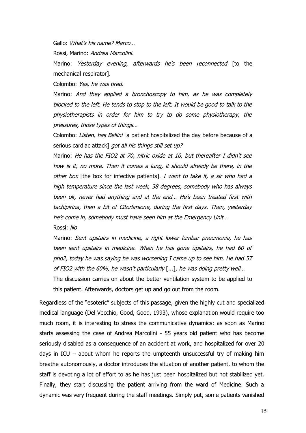Gallo: What's his name? Marco…

Rossi, Marino: Andrea Marcolini.

Marino: Yesterday evening, afterwards he's been reconnected [to the mechanical respirator].

Colombo: Yes, he was tired.

Marino: And they applied <sup>a</sup> bronchoscopy to him, as he was completely blocked to the left. He tends to stop to the left. It would be good to talk to the physiotherapists in order for him to try to do some physiotherapy, the pressures, those types of things…

Colombo: Listen, has Bellini [a patient hospitalized the day before because of a serious cardiac attack] got all his things still set up?

Marino: He has the FIO2 at 70, nitric oxide at 10, but thereafter I didn't see how is it, no more. Then it comes a lung, it should already be there, in the other box [the box for infective patients]. I went to take it, a sir who had a high temperature since the last week, 38 degrees, somebody who has always been ok, never had anything and at the end… He's been treated first with tachipirina, then a bit of Citorlarsone, during the first days. Then, yesterday he's come in, somebody must have seen him at the Emergency Unit…

Rossi: No

Marino: Sent upstairs in medicine, a right lower lumbar pneumonia, he has been sent upstairs in medicine. When he has gone upstairs, he had 60 of pho2, today he was saying he was worsening I came up to see him. He had 57 of FIO2 with the 60%, he wasn't particularly [...], he was doing pretty well…

The discussion carries on about the better ventilation system to be applied to this patient. Afterwards, doctors get up and go out from the room.

Regardless of the "esoteric" subjects of this passage, given the highly cut and specialized medical language (Del Vecchio, Good, Good, 1993), whose explanation would require too much room, it is interesting to stress the communicative dynamics: as soon as Marino starts assessing the case of Andrea Marcolini - 55 years old patient who has become seriously disabled as a consequence of an accident at work, and hospitalized for over 20 days in ICU – about whom he reports the umpteenth unsuccessful try of making him breathe autonomously, a doctor introduces the situation of another patient, to whom the staff is devoting a lot of effort to as he has just been hospitalized but not stabilized yet. Finally, they start discussing the patient arriving from the ward of Medicine. Such a dynamic was very frequent during the staff meetings. Simply put, some patients vanished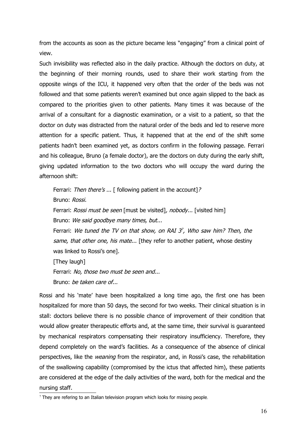from the accounts as soon as the picture became less "engaging" from a clinical point of view.

Such invisibility was reflected also in the daily practice. Although the doctors on duty, at the beginning of their morning rounds, used to share their work starting from the opposite wings of the ICU, it happened very often that the order of the beds was not followed and that some patients weren't examined but once again slipped to the back as compared to the priorities given to other patients. Many times it was because of the arrival of a consultant for a diagnostic examination, or a visit to a patient, so that the doctor on duty was distracted from the natural order of the beds and led to reserve more attention for a specific patient. Thus, it happened that at the end of the shift some patients hadn't been examined yet, as doctors confirm in the following passage. Ferrari and his colleague, Bruno (a female doctor), are the doctors on duty during the early shift, giving updated information to the two doctors who will occupy the ward during the afternoon shift:

Ferrari: Then there's ... [ following patient in the account]?

Bruno: Rossi.

Ferrari: Rossi must be seen [must be visited], nobody... [visited him]

Bruno: We said goodbye many times, but...

Ferrari: We tuned the TV on that show, on RAI  $3^7$  $3^7$ , Who saw him? Then, the same, that other one, his mate... [they refer to another patient, whose destiny was linked to Rossi's one].

[They laugh]

Ferrari: No, those two must be seen and...

Bruno: be taken care of...

Rossi and his 'mate' have been hospitalized a long time ago, the first one has been hospitalized for more than 50 days, the second for two weeks. Their clinical situation is in stall: doctors believe there is no possible chance of improvement of their condition that would allow greater therapeutic efforts and, at the same time, their survival is guaranteed by mechanical respirators compensating their respiratory insufficiency. Therefore, they depend completely on the ward's facilities. As a consequence of the absence of clinical perspectives, like the *weaning* from the respirator, and, in Rossi's case, the rehabilitation of the swallowing capability (compromised by the ictus that affected him), these patients are considered at the edge of the daily activities of the ward, both for the medical and the nursing staff.

<span id="page-15-0"></span> $7$  They are refering to an Italian television program which looks for missing people.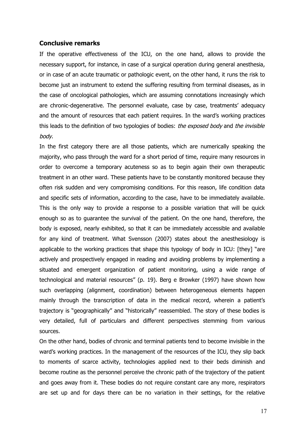#### **Conclusive remarks**

If the operative effectiveness of the ICU, on the one hand, allows to provide the necessary support, for instance, in case of a surgical operation during general anesthesia, or in case of an acute traumatic or pathologic event, on the other hand, it runs the risk to become just an instrument to extend the suffering resulting from terminal diseases, as in the case of oncological pathologies, which are assuming connotations increasingly which are chronic-degenerative. The personnel evaluate, case by case, treatments' adequacy and the amount of resources that each patient requires. In the ward's working practices this leads to the definition of two typologies of bodies: the exposed body and the invisible body.

In the first category there are all those patients, which are numerically speaking the majority, who pass through the ward for a short period of time, require many resources in order to overcome a temporary acuteness so as to begin again their own therapeutic treatment in an other ward. These patients have to be constantly monitored because they often risk sudden and very compromising conditions. For this reason, life condition data and specific sets of information, according to the case, have to be immediately available. This is the only way to provide a response to a possible variation that will be quick enough so as to guarantee the survival of the patient. On the one hand, therefore, the body is exposed, nearly exhibited, so that it can be immediately accessible and available for any kind of treatment. What Svensson (2007) states about the anesthesiology is applicable to the working practices that shape this typology of body in ICU: [they] "are actively and prospectively engaged in reading and avoiding problems by implementing a situated and emergent organization of patient monitoring, using a wide range of technological and material resources" (p. 19). Berg e Browker (1997) have shown how such overlapping (alignment, coordination) between heterogeneous elements happen mainly through the transcription of data in the medical record, wherein a patient's trajectory is "geographically" and "historically" reassembled. The story of these bodies is very detailed, full of particulars and different perspectives stemming from various sources.

On the other hand, bodies of chronic and terminal patients tend to become invisible in the ward's working practices. In the management of the resources of the ICU, they slip back to moments of scarce activity, technologies applied next to their beds diminish and become routine as the personnel perceive the chronic path of the trajectory of the patient and goes away from it. These bodies do not require constant care any more, respirators are set up and for days there can be no variation in their settings, for the relative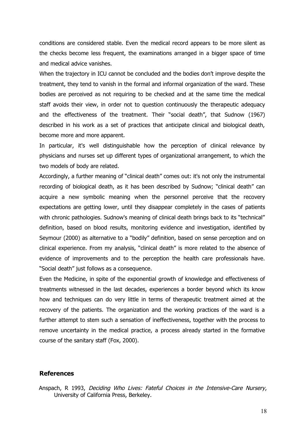conditions are considered stable. Even the medical record appears to be more silent as the checks become less frequent, the examinations arranged in a bigger space of time and medical advice vanishes.

When the trajectory in ICU cannot be concluded and the bodies don't improve despite the treatment, they tend to vanish in the formal and informal organization of the ward. These bodies are perceived as not requiring to be checked and at the same time the medical staff avoids their view, in order not to question continuously the therapeutic adequacy and the effectiveness of the treatment. Their "social death", that Sudnow (1967) described in his work as a set of practices that anticipate clinical and biological death, become more and more apparent.

In particular, it's well distinguishable how the perception of clinical relevance by physicians and nurses set up different types of organizational arrangement, to which the two models of body are related.

Accordingly, a further meaning of "clinical death" comes out: it's not only the instrumental recording of biological death, as it has been described by Sudnow; "clinical death" can acquire a new symbolic meaning when the personnel perceive that the recovery expectations are getting lower, until they disappear completely in the cases of patients with chronic pathologies. Sudnow's meaning of clinical death brings back to its "technical" definition, based on blood results, monitoring evidence and investigation, identified by Seymour (2000) as alternative to a "bodily" definition, based on sense perception and on clinical experience. From my analysis, "clinical death" is more related to the absence of evidence of improvements and to the perception the health care professionals have. "Social death" just follows as a consequence.

Even the Medicine, in spite of the exponential growth of knowledge and effectiveness of treatments witnessed in the last decades, experiences a border beyond which its know how and techniques can do very little in terms of therapeutic treatment aimed at the recovery of the patients. The organization and the working practices of the ward is a further attempt to stem such a sensation of ineffectiveness, together with the process to remove uncertainty in the medical practice, a process already started in the formative course of the sanitary staff (Fox, 2000).

#### **References**

Anspach, R 1993, Deciding Who Lives: Fateful Choices in the Intensive-Care Nursery, University of California Press, Berkeley.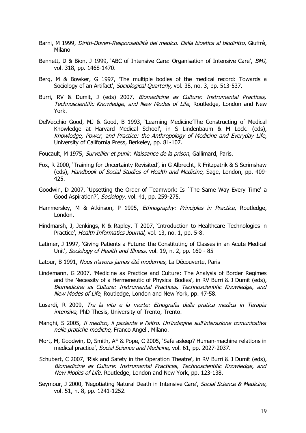- Barni, M 1999, Diritti-Doveri-Responsabilità del medico. Dalla bioetica al biodiritto, Giuffrè, Milano
- Bennett, D & Bion, J 1999, `ABC of Intensive Care: Organisation of Intensive Care', BMJ, vol. 318, pp. 1468-1470.
- Berg, M & Bowker, G 1997, 'The multiple bodies of the medical record: Towards a Sociology of an Artifact', Sociological Quarterly, vol. 38, no. 3, pp. 513-537.
- Burri, RV & Dumit, J (eds) 2007, Biomedicine as Culture: Instrumental Practices, Technoscientific Knowledge, and New Modes of Life, Routledge, London and New York.
- DelVecchio Good, MJ & Good, B 1993, 'Learning Medicine'The Constructing of Medical Knowledge at Harvard Medical School', in S Lindenbaum & M Lock. (eds), Knowledge, Power, and Practice: the Anthropology of Medicine and Everyday Life, University of California Press, Berkeley, pp. 81-107.
- Foucault, M 1975, Surveiller et punir. Naissance de la prison, Gallimard, Paris.
- Fox, R 2000, 'Training for Uncertainty Revisited', in G Albrecht, R Fritzpatrik & S Scrimshaw (eds), Handbook of Social Studies of Health and Medicine, Sage, London, pp. 409- 425.
- Goodwin, D 2007, 'Upsetting the Order of Teamwork: Is `The Same Way Every Time' a Good Aspiration?', Sociology, vol. 41, pp. 259-275.
- Hammersley, M & Atkinson, P 1995, Ethnography: Principles in Practice, Routledge, London.
- Hindmarsh, J, Jenkings, K & Rapley, T 2007, 'Introduction to Healthcare Technologies in Practice', Health Informatics Journal, vol. 13, no. 1, pp. 5-8.
- Latimer, J 1997, 'Giving Patients a Future: the Constituting of Classes in an Acute Medical Unit', Sociology of Health and Illness, vol. 19, n. 2, pp. 160 - 85
- Latour, B 1991, Nous n'avons jamas été modernes, La Découverte, Paris
- Lindemann, G 2007, 'Medicine as Practice and Culture: The Analysis of Border Regimes and the Necessity of a Hermeneutic of Physical Bodies', in RV Burri & J Dumit (eds), Biomedicine as Culture: Instrumental Practices, Technoscientific Knowledge, and New Modes of Life, Routledge, London and New York, pp. 47-58.
- Lusardi, R 2009, Tra la vita <sup>e</sup> la morte: Etnografia della pratica medica in Terapia intensiva, PhD Thesis, University of Trento, Trento.
- Manghi, S 2005, Il medico, il paziente e l'altro. Un'indagine sull'interazione comunicativa nelle pratiche mediche, Franco Angeli, Milano.
- Mort, M, Goodwin, D, Smith, AF & Pope, C 2005, 'Safe asleep? Human-machine relations in medical practice', Social Science and Medicine, vol. 61, pp. 2027-2037.
- Schubert, C 2007, 'Risk and Safety in the Operation Theatre', in RV Burri & J Dumit (eds), Biomedicine as Culture: Instrumental Practices, Technoscientific Knowledge, and New Modes of Life, Routledge, London and New York, pp. 123-138.
- Seymour, J 2000, 'Negotiating Natural Death in Intensive Care', Social Science & Medicine, vol. 51, n. 8, pp. 1241-1252.